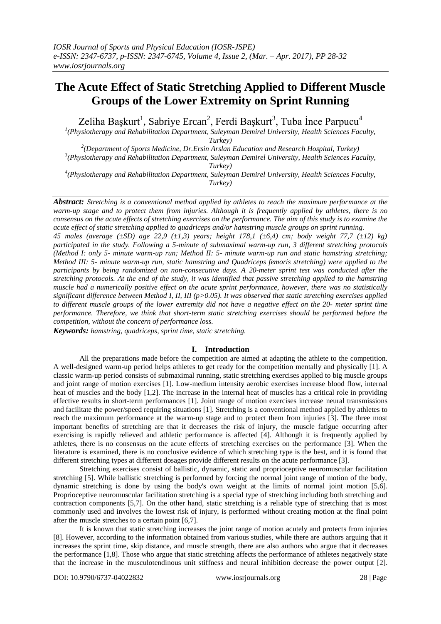# **The Acute Effect of Static Stretching Applied to Different Muscle Groups of the Lower Extremity on Sprint Running**

Zeliha Başkurt<sup>1</sup>, Sabriye Ercan<sup>2</sup>, Ferdi Başkurt<sup>3</sup>, Tuba İnce Parpucu<sup>4</sup>

<sup>1</sup>(Physiotherapy and Rehabilitation Department, Suleyman Demirel University, Health Sciences Faculty, *Turkey)*

*2 (Department of Sports Medicine, Dr.Ersin Arslan Education and Research Hospital, Turkey) 3 (Physiotherapy and Rehabilitation Department, Suleyman Demirel University, Health Sciences Faculty,* 

*Turkey)*

*4 (Physiotherapy and Rehabilitation Department, Suleyman Demirel University, Health Sciences Faculty, Turkey)*

*Abstract: Stretching is a conventional method applied by athletes to reach the maximum performance at the warm-up stage and to protect them from injuries. Although it is frequently applied by athletes, there is no consensus on the acute effects of stretching exercises on the performance. The aim of this study is to examine the acute effect of static stretching applied to quadriceps and/or hamstring muscle groups on sprint running. 45 males (average (±SD) age 22,9 (±1,3) years; height 178,1 (±6,4) cm; body weight 77,7 (±12) kg) participated in the study. Following a 5-minute of submaximal warm-up run, 3 different stretching protocols (Method I: only 5- minute warm-up run; Method II: 5- minute warm-up run and static hamstring stretching; Method III: 5- minute warm-up run, static hamstring and Quadriceps femoris stretching) were applied to the participants by being randomized on non-consecutive days. A 20-meter sprint test was conducted after the stretching protocols. At the end of the study, it was identified that passive stretching applied to the hamstring muscle had a numerically positive effect on the acute sprint performance, however, there was no statistically significant difference between Method I, II, III (p>0.05). It was observed that static stretching exercises applied to different muscle groups of the lower extremity did not have a negative effect on the 20- meter sprint time performance. Therefore, we think that short-term static stretching exercises should be performed before the competition, without the concern of performance loss.*

*Keywords: hamstring, quadriceps, sprint time, static stretching.*

## **I. Introduction**

All the preparations made before the competition are aimed at adapting the athlete to the competition. A well-designed warm-up period helps athletes to get ready for the competition mentally and physically [1]. A classic warm-up period consists of submaximal running, static stretching exercises applied to big muscle groups and joint range of motion exercises [1]. Low-medium intensity aerobic exercises increase blood flow, internal heat of muscles and the body [1,2]. The increase in the internal heat of muscles has a critical role in providing effective results in short-term performances [1]. Joint range of motion exercises increase neural transmissions and facilitate the power/speed requiring situations [1]. Stretching is a conventional method applied by athletes to reach the maximum performance at the warm-up stage and to protect them from injuries [3]. The three most important benefits of stretching are that it decreases the risk of injury, the muscle fatigue occurring after exercising is rapidly relieved and athletic performance is affected [4]. Although it is frequently applied by athletes, there is no consensus on the acute effects of stretching exercises on the performance [3]. When the literature is examined, there is no conclusive evidence of which stretching type is the best, and it is found that different stretching types at different dosages provide different results on the acute performance [3].

Stretching exercises consist of ballistic, dynamic, static and proprioceptive neuromuscular facilitation stretching [5]. While ballistic stretching is performed by forcing the normal joint range of motion of the body, dynamic stretching is done by using the body's own weight at the limits of normal joint motion [5,6]. Proprioceptive neuromuscular facilitation stretching is a special type of stretching including both stretching and contraction components [5,7]. On the other hand, static stretching is a reliable type of stretching that is most commonly used and involves the lowest risk of injury, is performed without creating motion at the final point after the muscle stretches to a certain point [6,7].

It is known that static stretching increases the joint range of motion acutely and protects from injuries [8]. However, according to the information obtained from various studies, while there are authors arguing that it increases the sprint time, skip distance, and muscle strength, there are also authors who argue that it decreases the performance [1,8]. Those who argue that static stretching affects the performance of athletes negatively state that the increase in the musculotendinous unit stiffness and neural inhibition decrease the power output [2].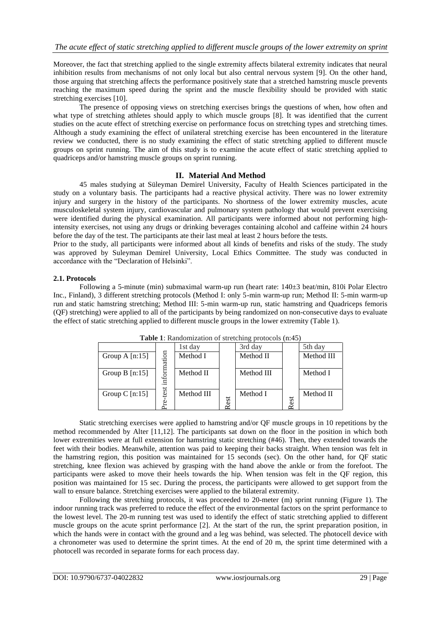Moreover, the fact that stretching applied to the single extremity affects bilateral extremity indicates that neural inhibition results from mechanisms of not only local but also central nervous system [9]. On the other hand, those arguing that stretching affects the performance positively state that a stretched hamstring muscle prevents reaching the maximum speed during the sprint and the muscle flexibility should be provided with static stretching exercises [10].

The presence of opposing views on stretching exercises brings the questions of when, how often and what type of stretching athletes should apply to which muscle groups [8]. It was identified that the current studies on the acute effect of stretching exercise on performance focus on stretching types and stretching times. Although a study examining the effect of unilateral stretching exercise has been encountered in the literature review we conducted, there is no study examining the effect of static stretching applied to different muscle groups on sprint running. The aim of this study is to examine the acute effect of static stretching applied to quadriceps and/or hamstring muscle groups on sprint running.

## **II. Material And Method**

45 males studying at Süleyman Demirel University, Faculty of Health Sciences participated in the study on a voluntary basis. The participants had a reactive physical activity. There was no lower extremity injury and surgery in the history of the participants. No shortness of the lower extremity muscles, acute musculoskeletal system injury, cardiovascular and pulmonary system pathology that would prevent exercising were identified during the physical examination. All participants were informed about not performing highintensity exercises, not using any drugs or drinking beverages containing alcohol and caffeine within 24 hours before the day of the test. The participants ate their last meal at least 2 hours before the tests.

Prior to the study, all participants were informed about all kinds of benefits and risks of the study. The study was approved by Suleyman Demirel University, Local Ethics Committee. The study was conducted in accordance with the "Declaration of Helsinki".

#### **2.1. Protocols**

Following a 5-minute (min) submaximal warm-up run (heart rate: 140±3 beat/min, 810i Polar Electro Inc., Finland), 3 different stretching protocols (Method I: only 5-min warm-up run; Method II: 5-min warm-up run and static hamstring stretching; Method III: 5-min warm-up run, static hamstring and Quadriceps femoris (QF) stretching) were applied to all of the participants by being randomized on non-consecutive days to evaluate the effect of static stretching applied to different muscle groups in the lower extremity (Table 1).

| <b>Table 1:</b> Randomization of stretching protocols (n:45) |             |            |     |            |      |            |
|--------------------------------------------------------------|-------------|------------|-----|------------|------|------------|
|                                                              |             | 1st day    |     | 3rd day    |      | 5th day    |
| Group A $[n:15]$                                             |             | Method I   |     | Method II  |      | Method III |
| Group $B$ [n:15]                                             | information | Method II  |     | Method III |      | Method I   |
| Group C $[n:15]$                                             | $-test$     | Method III | est | Method I   | Rest | Method II  |

**Table 1**: Randomization of stretching protocols (n:45)

Static stretching exercises were applied to hamstring and/or QF muscle groups in 10 repetitions by the method recommended by Alter [11,12]. The participants sat down on the floor in the position in which both lower extremities were at full extension for hamstring static stretching (#46). Then, they extended towards the feet with their bodies. Meanwhile, attention was paid to keeping their backs straight. When tension was felt in the hamstring region, this position was maintained for 15 seconds (sec). On the other hand, for QF static stretching, knee flexion was achieved by grasping with the hand above the ankle or from the forefoot. The participants were asked to move their heels towards the hip. When tension was felt in the QF region, this position was maintained for 15 sec. During the process, the participants were allowed to get support from the wall to ensure balance. Stretching exercises were applied to the bilateral extremity.

Following the stretching protocols, it was proceeded to 20-meter (m) sprint running (Figure 1). The indoor running track was preferred to reduce the effect of the environmental factors on the sprint performance to the lowest level. The 20-m running test was used to identify the effect of static stretching applied to different muscle groups on the acute sprint performance [2]. At the start of the run, the sprint preparation position, in which the hands were in contact with the ground and a leg was behind, was selected. The photocell device with a chronometer was used to determine the sprint times. At the end of 20 m, the sprint time determined with a photocell was recorded in separate forms for each process day.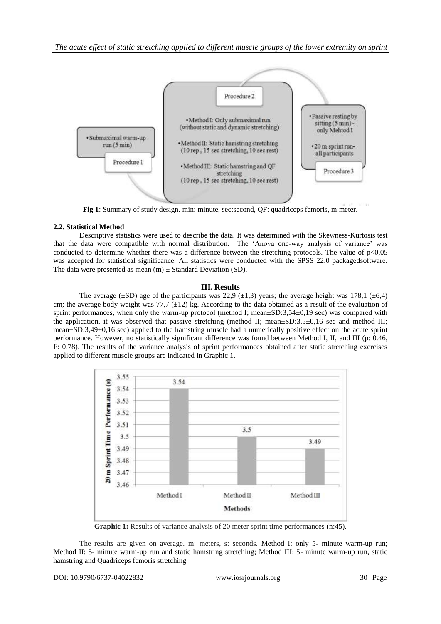

**Fig 1**: Summary of study design. min: minute, sec:second, QF: quadriceps femoris, m:meter.

## **2.2. Statistical Method**

Descriptive statistics were used to describe the data. It was determined with the Skewness-Kurtosis test that the data were compatible with normal distribution. The "Anova one-way analysis of variance" was conducted to determine whether there was a difference between the stretching protocols. The value of  $p<0.05$ was accepted for statistical significance. All statistics were conducted with the SPSS 22.0 packagedsoftware. The data were presented as mean  $(m) \pm$  Standard Deviation (SD).

# **III. Results**

The average ( $\pm$ SD) age of the participants was 22,9 ( $\pm$ 1,3) years; the average height was 178,1 ( $\pm$ 6,4) cm; the average body weight was 77,7  $(\pm 12)$  kg. According to the data obtained as a result of the evaluation of sprint performances, when only the warm-up protocol (method I; mean±SD:3,54±0,19 sec) was compared with the application, it was observed that passive stretching (method II; mean±SD:3,5±0,16 sec and method III; mean±SD:3,49±0,16 sec) applied to the hamstring muscle had a numerically positive effect on the acute sprint performance. However, no statistically significant difference was found between Method I, II, and III (p: 0.46, F: 0.78). The results of the variance analysis of sprint performances obtained after static stretching exercises applied to different muscle groups are indicated in Graphic 1.



**Graphic 1:** Results of variance analysis of 20 meter sprint time performances (n:45).

The results are given on average. m: meters, s: seconds. Method I: only 5- minute warm-up run; Method II: 5- minute warm-up run and static hamstring stretching; Method III: 5- minute warm-up run, static hamstring and Quadriceps femoris stretching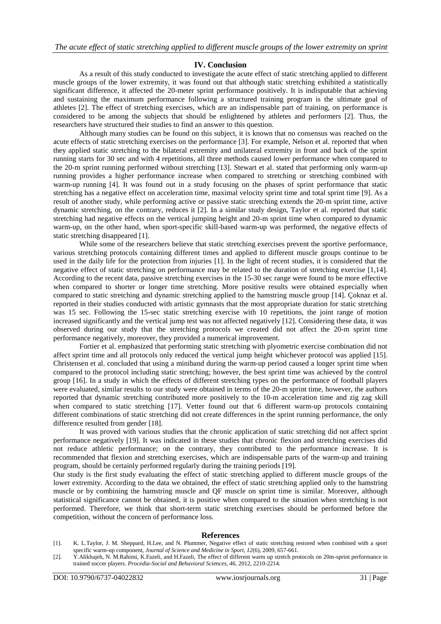#### **IV. Conclusion**

As a result of this study conducted to investigate the acute effect of static stretching applied to different muscle groups of the lower extremity, it was found out that although static stretching exhibited a statistically significant difference, it affected the 20-meter sprint performance positively. It is indisputable that achieving and sustaining the maximum performance following a structured training program is the ultimate goal of athletes [2]. The effect of stretching exercises, which are an indispensable part of training, on performance is considered to be among the subjects that should be enlightened by athletes and performers [2]. Thus, the researchers have structured their studies to find an answer to this question.

Although many studies can be found on this subject, it is known that no consensus was reached on the acute effects of static stretching exercises on the performance [3]. For example, Nelson et al. reported that when they applied static stretching to the bilateral extremity and unilateral extremity in front and back of the sprint running starts for 30 sec and with 4 repetitions, all three methods caused lower performance when compared to the 20-m sprint running performed without stretching [13]. Stewart et al. stated that performing only warm-up running provides a higher performance increase when compared to stretching or stretching combined with warm-up running [4]. It was found out in a study focusing on the phases of sprint performance that static stretching has a negative effect on acceleration time, maximal velocity sprint time and total sprint time [9]. As a result of another study, while performing active or passive static stretching extends the 20-m sprint time, active dynamic stretching, on the contrary, reduces it [2]. In a similar study design, Taylor et al. reported that static stretching had negative effects on the vertical jumping height and 20-m sprint time when compared to dynamic warm-up, on the other hand, when sport-specific skill-based warm-up was performed, the negative effects of static stretching disappeared [1].

While some of the researchers believe that static stretching exercises prevent the sportive performance, various stretching protocols containing different times and applied to different muscle groups continue to be used in the daily life for the protection from injuries [1]. In the light of recent studies, it is considered that the negative effect of static stretching on performance may be related to the duration of stretching exercise [1,14]. According to the recent data, passive stretching exercises in the 15-30 sec range were found to be more effective when compared to shorter or longer time stretching. More positive results were obtained especially when compared to static stretching and dynamic stretching applied to the hamstring muscle group [14]. Çoknaz et al. reported in their studies conducted with artistic gymnasts that the most appropriate duration for static stretching was 15 sec. Following the 15-sec static stretching exercise with 10 repetitions, the joint range of motion increased significantly and the vertical jump test was not affected negatively [12]. Considering these data, it was observed during our study that the stretching protocols we created did not affect the 20-m sprint time performance negatively, moreover, they provided a numerical improvement.

Fortier et al. emphasized that performing static stretching with plyometric exercise combination did not affect sprint time and all protocols only reduced the vertical jump height whichever protocol was applied [15]. Christensen et al. concluded that using a miniband during the warm-up period caused a longer sprint time when compared to the protocol including static stretching; however, the best sprint time was achieved by the control group [16]. In a study in which the effects of different stretching types on the performance of football players were evaluated, similar results to our study were obtained in terms of the 20-m sprint time, however, the authors reported that dynamic stretching contributed more positively to the 10-m acceleration time and zig zag skill when compared to static stretching [17]. Vetter found out that 6 different warm-up protocols containing different combinations of static stretching did not create differences in the sprint running performance, the only difference resulted from gender [18].

It was proved with various studies that the chronic application of static stretching did not affect sprint performance negatively [19]. It was indicated in these studies that chronic flexion and stretching exercises did not reduce athletic performance; on the contrary, they contributed to the performance increase. It is recommended that flexion and stretching exercises, which are indispensable parts of the warm-up and training program, should be certainly performed regularly during the training periods [19].

Our study is the first study evaluating the effect of static stretching applied to different muscle groups of the lower extremity. According to the data we obtained, the effect of static stretching applied only to the hamstring muscle or by combining the hamstring muscle and QF muscle on sprint time is similar. Moreover, although statistical significance cannot be obtained, it is positive when compared to the situation when stretching is not performed. Therefore, we think that short-term static stretching exercises should be performed before the competition, without the concern of performance loss.

#### **References**

- [1]. K. L.Taylor, J. M. Sheppard, H.Lee, and N. Plummer, Negative effect of static stretching restored when combined with a sport specific warm-up component, *Journal of Science and Medicine in Sport*, *12*(6), 2009, 657-661.
- [2]. Y.Alikhajeh, N. M.Rahimi, K.Fazeli, and H.Fazeli, The effect of different warm up stretch protocols on 20m-sprint performance in trained soccer players. *Procedia-Social and Behavioral Sciences*, *46*, 2012, 2210-2214.